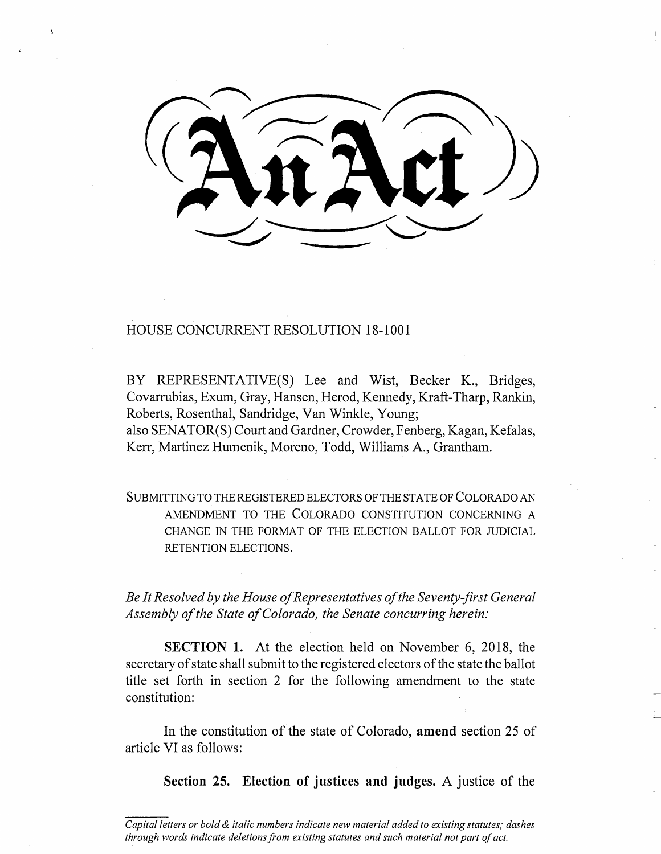## HOUSE CONCURRENT RESOLUTION 18-1001

BY REPRESENTATIVE(S) Lee and Wist, Becker K., Bridges, Covarrubias, Exum, Gray, Hansen, Herod, Kennedy, Kraft-Tharp, Rankin, Roberts, Rosenthal, Sandridge, Van Winkle, Young;

also SENATOR(S) Court and Gardner, Crowder, Fenberg, Kagan, Kefalas, Kerr, Martinez Humenik, Moreno, Todd, Williams A., Grantham.

SUBMITTING TO THE REGISTERED ELECTORS OF THE STATE OF COLORADO AN AMENDMENT TO THE COLORADO CONSTITUTION CONCERNING A CHANGE IN THE FORMAT OF THE ELECTION BALLOT FOR JUDICIAL RETENTION ELECTIONS.

*Be It Resolved by the House of Representatives of the Seventy-first General Assembly of the State of Colorado, the Senate concurring herein:* 

**SECTION 1.** At the election held on November 6, 2018, the secretary of state shall submit to the registered electors of the state the ballot title set forth in section 2 for the following amendment to the state constitution:

In the constitution of the state of Colorado, **amend** section 25 of article VI as follows:

**Section 25. Election of justices and judges.** A justice of the

*Capital letters or bold & italic numbers indicate new material added to existing statutes; dashes through words indicate deletions from existing statutes and such material not part of act.*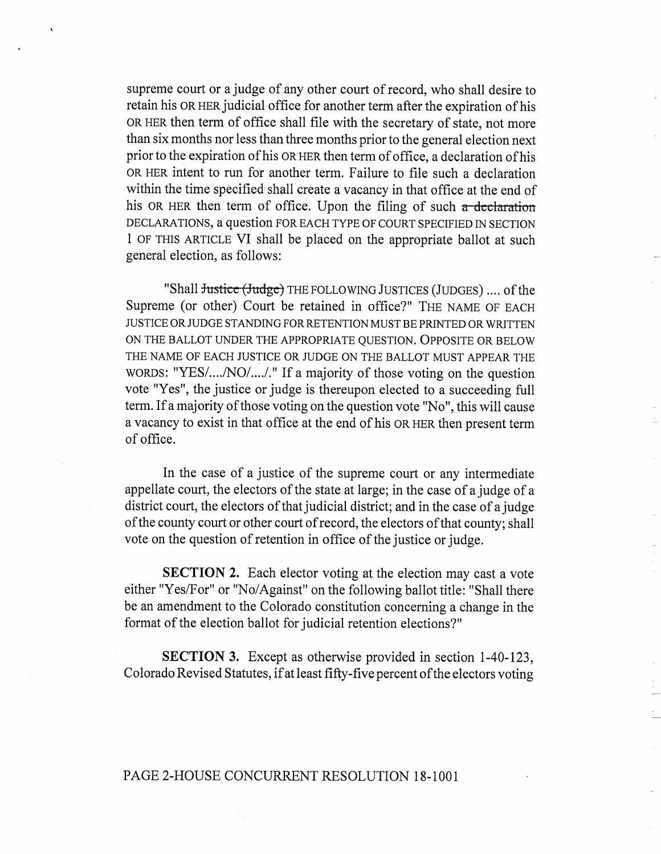supreme court or a judge of any other court of record, who shall desire to retain his OR HER judicial office for another term after the expiration of his OR HER then term of office shall file with the secretary of state, not more than six months nor less than three months prior to the general election next prior to the expiration of his OR HER then term of office, a declaration of his OR HER intent to run for another term. Failure to file such a declaration within the time specified shall create a vacancy in that office at the end of his OR HER then term of office. Upon the filing of such  $\alpha$  declaration DECLARATIONS, a question FOR EACH TYPE OF COURT SPECIFIED IN SECTION 1 OF THIS ARTICLE VI shall be placed on the appropriate ballot at such general election, as follows:

"Shall <del>Justice (Judge)</del> THE FOLLOWING JUSTICES (JUDGES) .... of the Supreme (or other) Court be retained in office?" THE NAME OF EACH JUSTICE OR JUDGE STANDING FOR RETENTION MUST BE PRINTED OR WRITTEN ON THE BALLOT UNDER THE APPROPRIATE QUESTION. OPPOSITE OR BELOW THE NAME OF EACH JUSTICE OR JUDGE ON THE BALLOT MUST APPEAR THE WORDS: "YES/..../NO/..../." If a majority of those voting on the question vote "Yes", the justice or judge is thereupon elected to a succeeding full term. If a majority of those voting on the question vote "No", this will cause a vacancy to exist in that office at the end of his OR HER then present term of office.

In the case of a justice of the supreme court or any intermediate appellate court, the electors of the state at large; in the case of a judge of a district court, the electors of that judicial district; and in the case of a judge of the county court or other court of record, the electors of that county; shall vote on the question of retention in office of the justice or judge.

**SECTION 2.** Each elector voting at the election may cast a vote either "Yes/For" or "No/Against" on the following ballot title: "Shall there be an amendment to the Colorado constitution concerning a change in the format of the election ballot for judicial retention elections?"

SECTION 3. Except as otherwise provided in section 1-40-123, Colorado Revised Statutes, if at least fifty-five percent of the electors voting

## PAGE 2-HOUSE CONCURRENT RESOLUTION 18-1001